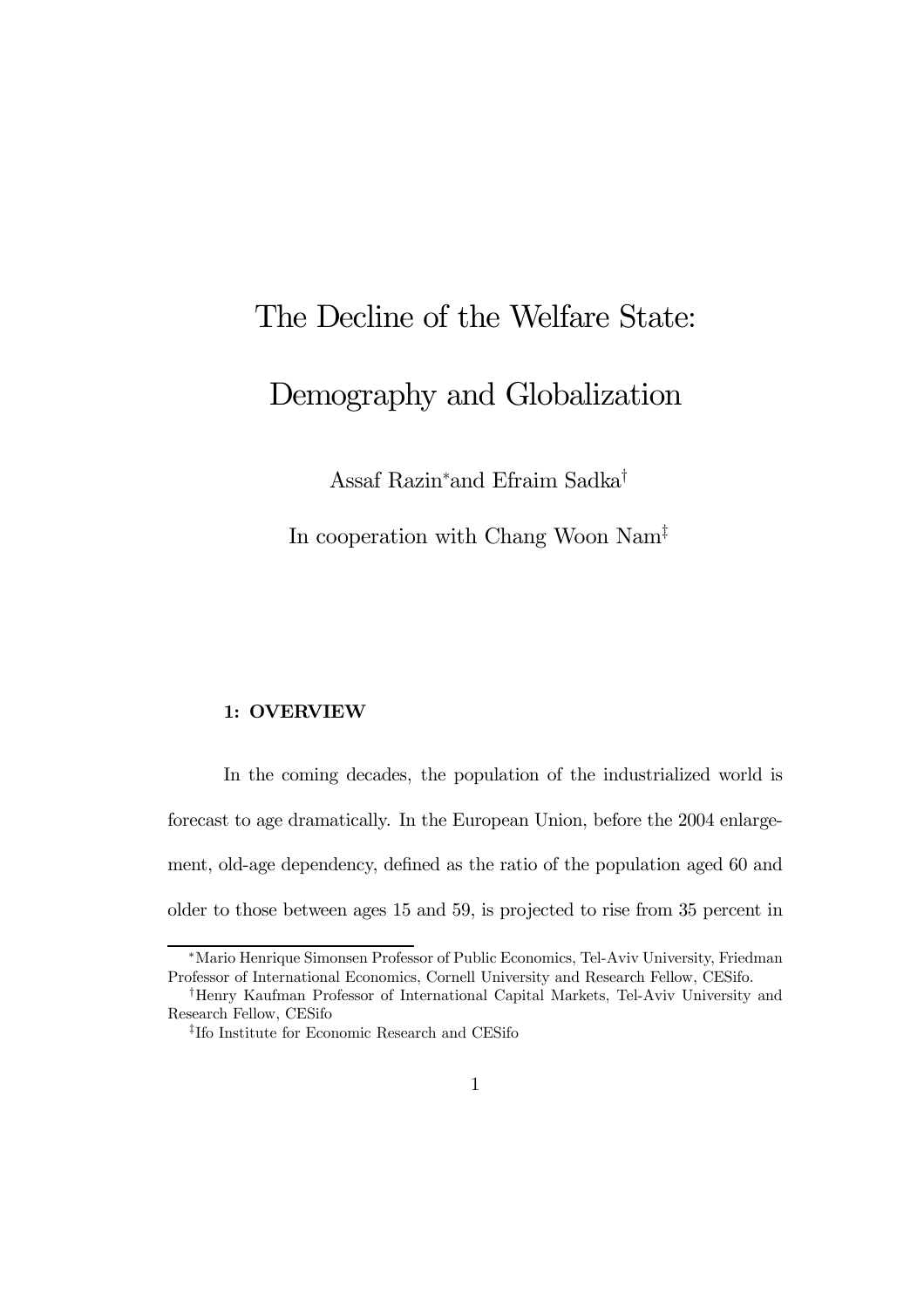## The Decline of the Welfare State: Demography and Globalization

Assaf Razin<sup>∗</sup> and Efraim Sadka†

In cooperation with Chang Woon Nam‡

## 1: OVERVIEW

In the coming decades, the population of the industrialized world is forecast to age dramatically. In the European Union, before the 2004 enlargement, old-age dependency, defined as the ratio of the population aged 60 and older to those between ages 15 and 59, is projected to rise from 35 percent in

<sup>∗</sup>Mario Henrique Simonsen Professor of Public Economics, Tel-Aviv University, Friedman Professor of International Economics, Cornell University and Research Fellow, CESifo.

<sup>†</sup>Henry Kaufman Professor of International Capital Markets, Tel-Aviv University and Research Fellow, CESifo

<sup>‡</sup>Ifo Institute for Economic Research and CESifo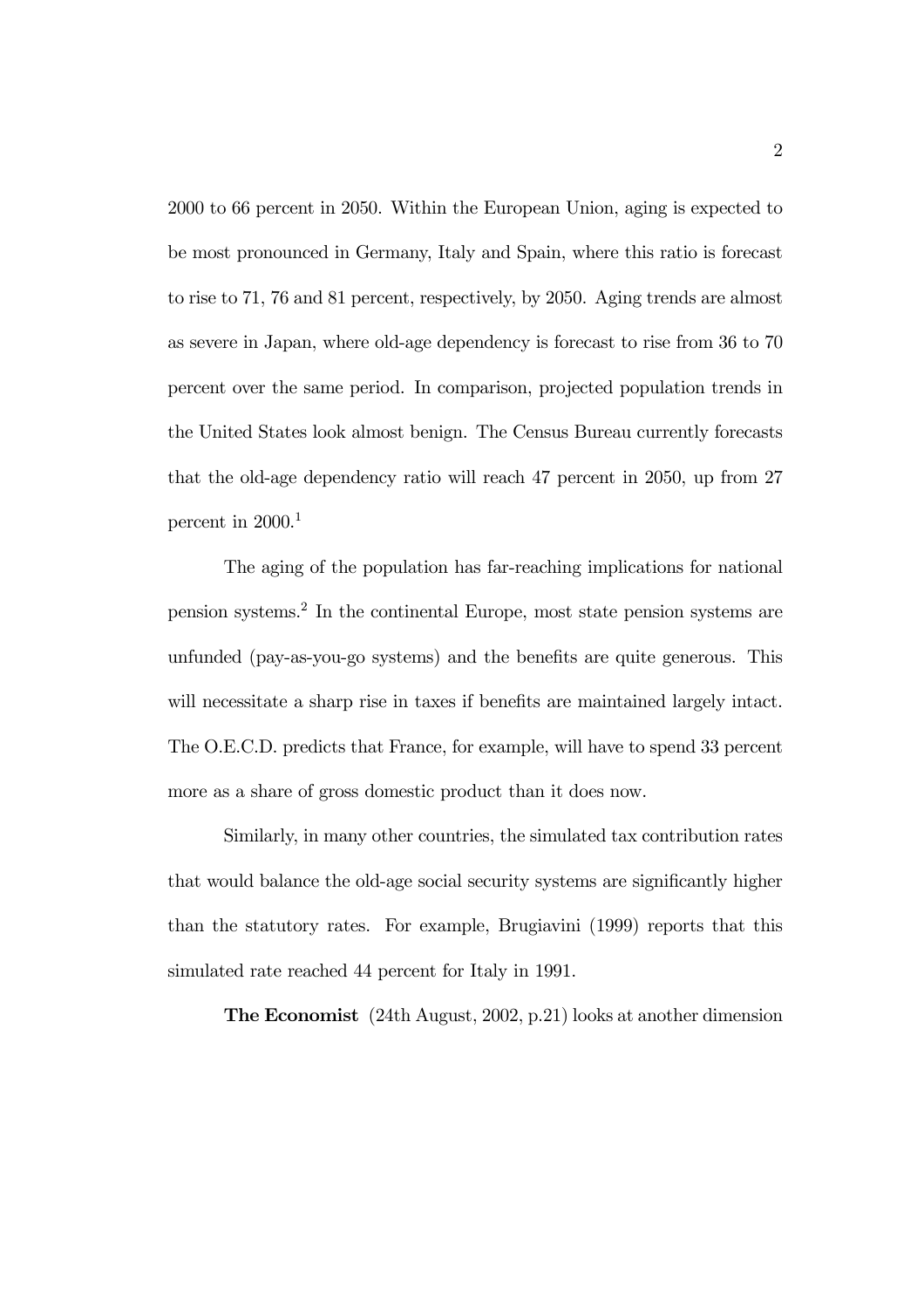2000 to 66 percent in 2050. Within the European Union, aging is expected to be most pronounced in Germany, Italy and Spain, where this ratio is forecast to rise to 71, 76 and 81 percent, respectively, by 2050. Aging trends are almost as severe in Japan, where old-age dependency is forecast to rise from 36 to 70 percent over the same period. In comparison, projected population trends in the United States look almost benign. The Census Bureau currently forecasts that the old-age dependency ratio will reach 47 percent in 2050, up from 27 percent in  $2000$ <sup>1</sup>

The aging of the population has far-reaching implications for national pension systems.<sup>2</sup> In the continental Europe, most state pension systems are unfunded (pay-as-you-go systems) and the benefits are quite generous. This will necessitate a sharp rise in taxes if benefits are maintained largely intact. The O.E.C.D. predicts that France, for example, will have to spend 33 percent more as a share of gross domestic product than it does now.

Similarly, in many other countries, the simulated tax contribution rates that would balance the old-age social security systems are significantly higher than the statutory rates. For example, Brugiavini (1999) reports that this simulated rate reached 44 percent for Italy in 1991.

The Economist (24th August, 2002, p.21) looks at another dimension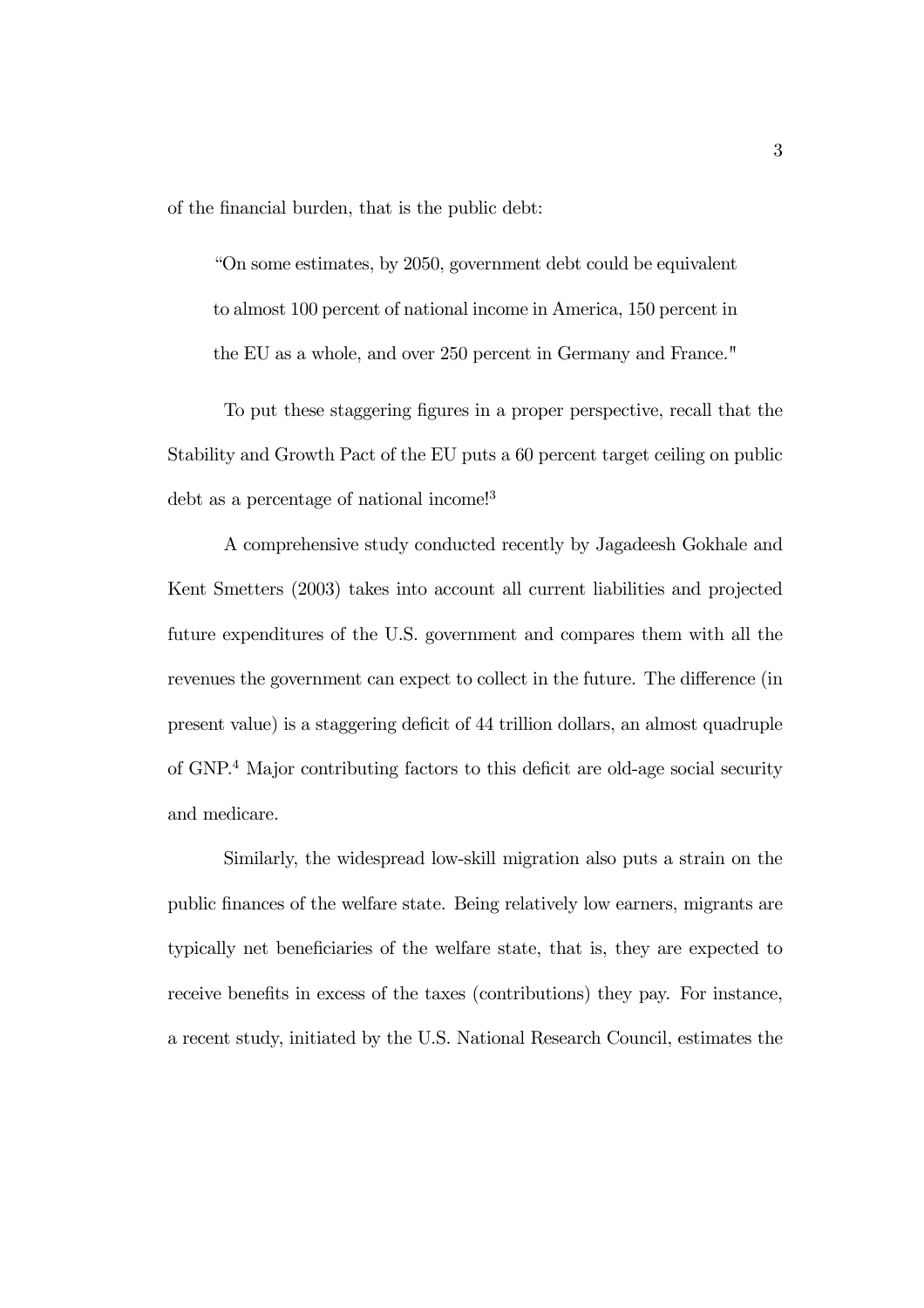of the financial burden, that is the public debt:

"On some estimates, by 2050, government debt could be equivalent to almost 100 percent of national income in America, 150 percent in the EU as a whole, and over 250 percent in Germany and France."

To put these staggering figures in a proper perspective, recall that the Stability and Growth Pact of the EU puts a 60 percent target ceiling on public debt as a percentage of national income!<sup>3</sup>

A comprehensive study conducted recently by Jagadeesh Gokhale and Kent Smetters (2003) takes into account all current liabilities and projected future expenditures of the U.S. government and compares them with all the revenues the government can expect to collect in the future. The difference (in present value) is a staggering deficit of 44 trillion dollars, an almost quadruple of GNP.<sup>4</sup> Major contributing factors to this deficit are old-age social security and medicare.

Similarly, the widespread low-skill migration also puts a strain on the public finances of the welfare state. Being relatively low earners, migrants are typically net beneficiaries of the welfare state, that is, they are expected to receive benefits in excess of the taxes (contributions) they pay. For instance, a recent study, initiated by the U.S. National Research Council, estimates the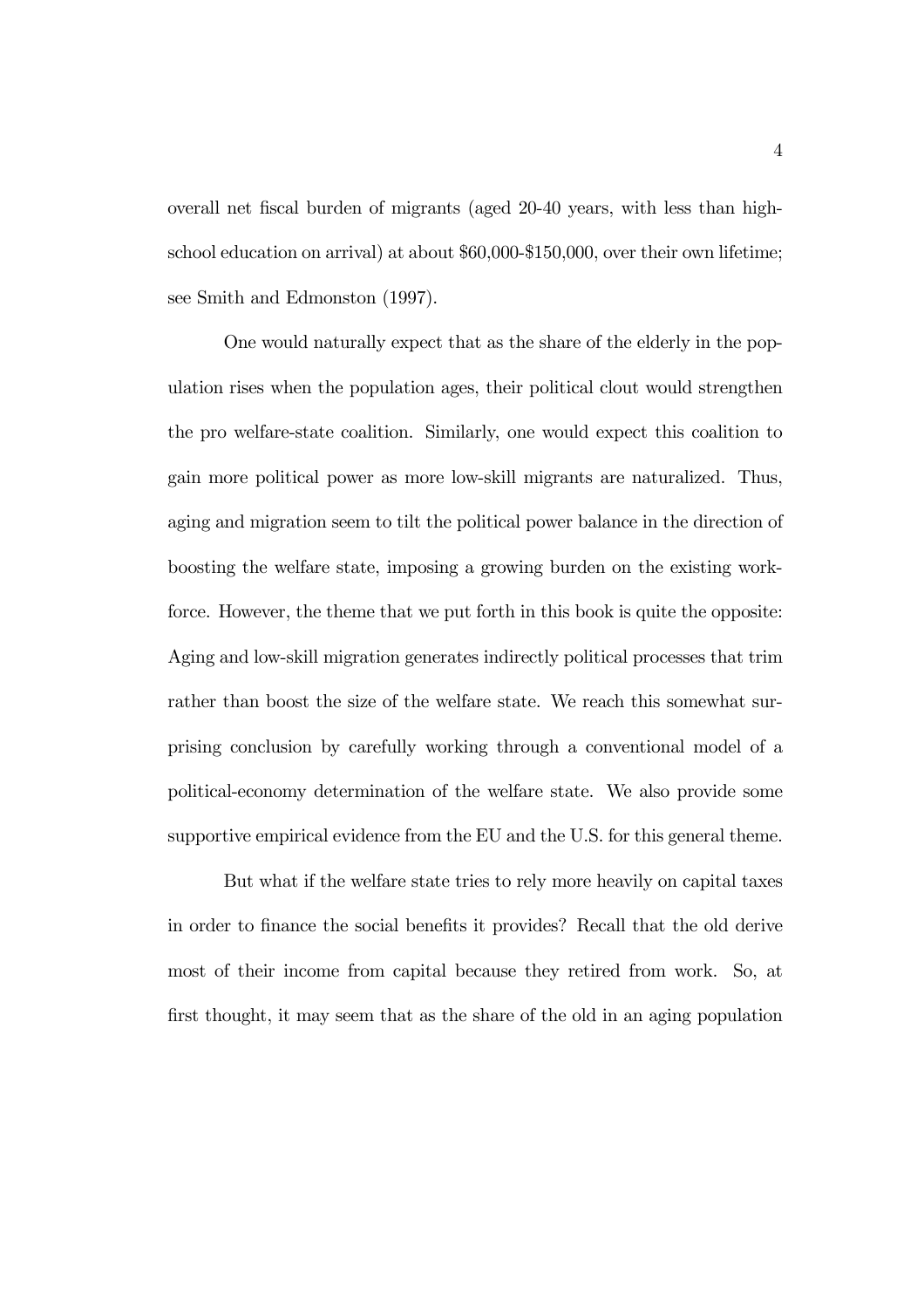overall net fiscal burden of migrants (aged 20-40 years, with less than highschool education on arrival) at about \$60,000-\$150,000, over their own lifetime; see Smith and Edmonston (1997).

One would naturally expect that as the share of the elderly in the population rises when the population ages, their political clout would strengthen the pro welfare-state coalition. Similarly, one would expect this coalition to gain more political power as more low-skill migrants are naturalized. Thus, aging and migration seem to tilt the political power balance in the direction of boosting the welfare state, imposing a growing burden on the existing workforce. However, the theme that we put forth in this book is quite the opposite: Aging and low-skill migration generates indirectly political processes that trim rather than boost the size of the welfare state. We reach this somewhat surprising conclusion by carefully working through a conventional model of a political-economy determination of the welfare state. We also provide some supportive empirical evidence from the EU and the U.S. for this general theme.

But what if the welfare state tries to rely more heavily on capital taxes in order to finance the social benefits it provides? Recall that the old derive most of their income from capital because they retired from work. So, at first thought, it may seem that as the share of the old in an aging population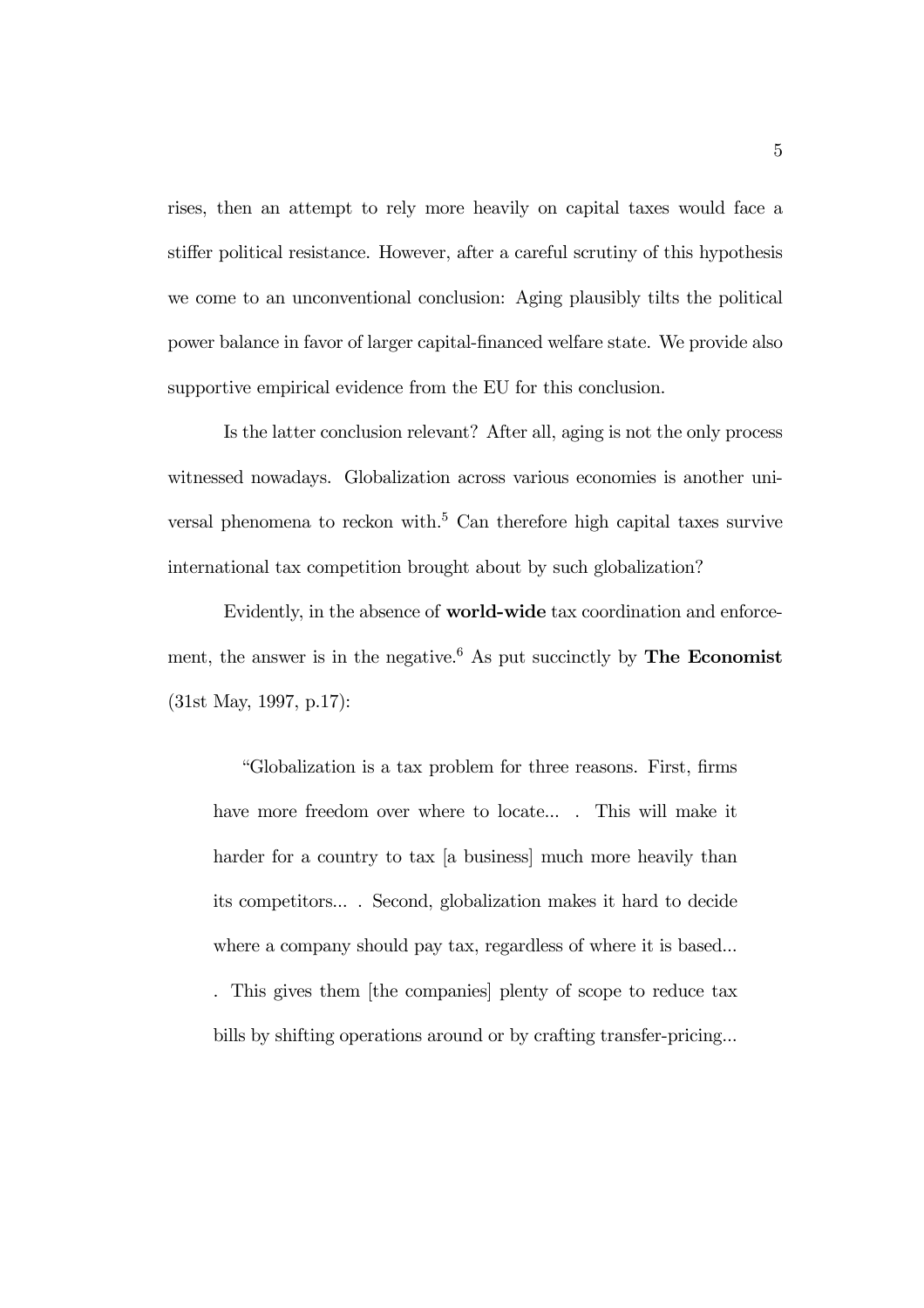rises, then an attempt to rely more heavily on capital taxes would face a stiffer political resistance. However, after a careful scrutiny of this hypothesis we come to an unconventional conclusion: Aging plausibly tilts the political power balance in favor of larger capital-financed welfare state. We provide also supportive empirical evidence from the EU for this conclusion.

Is the latter conclusion relevant? After all, aging is not the only process witnessed nowadays. Globalization across various economies is another universal phenomena to reckon with.<sup>5</sup> Can therefore high capital taxes survive international tax competition brought about by such globalization?

Evidently, in the absence of world-wide tax coordination and enforcement, the answer is in the negative.<sup>6</sup> As put succinctly by **The Economist** (31st May, 1997, p.17):

"Globalization is a tax problem for three reasons. First, firms have more freedom over where to locate... . This will make it harder for a country to tax [a business] much more heavily than its competitors... . Second, globalization makes it hard to decide where a company should pay tax, regardless of where it is based...

. This gives them [the companies] plenty of scope to reduce tax bills by shifting operations around or by crafting transfer-pricing...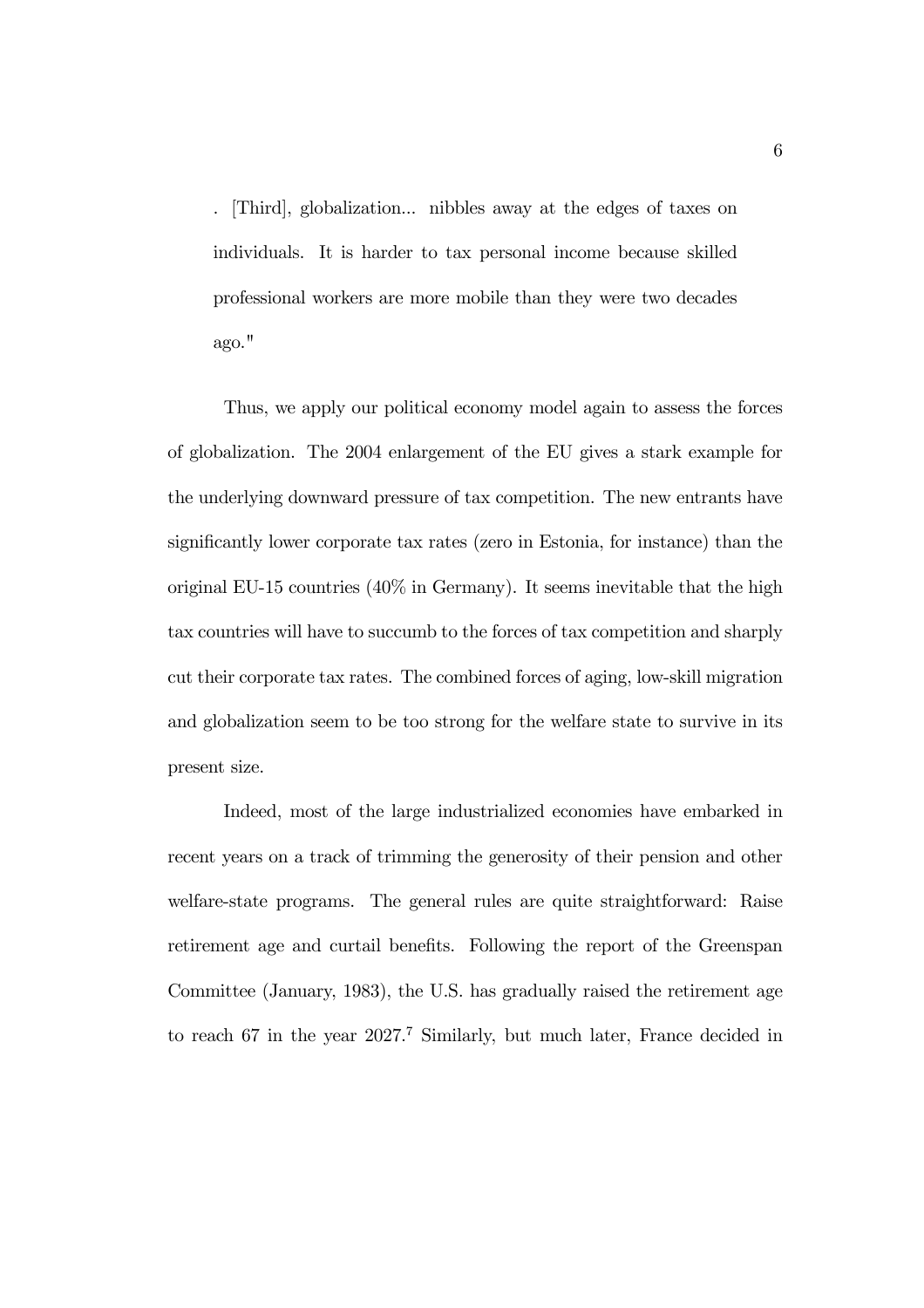. [Third], globalization... nibbles away at the edges of taxes on individuals. It is harder to tax personal income because skilled professional workers are more mobile than they were two decades ago."

Thus, we apply our political economy model again to assess the forces of globalization. The 2004 enlargement of the EU gives a stark example for the underlying downward pressure of tax competition. The new entrants have significantly lower corporate tax rates (zero in Estonia, for instance) than the original EU-15 countries (40% in Germany). It seems inevitable that the high tax countries will have to succumb to the forces of tax competition and sharply cut their corporate tax rates. The combined forces of aging, low-skill migration and globalization seem to be too strong for the welfare state to survive in its present size.

Indeed, most of the large industrialized economies have embarked in recent years on a track of trimming the generosity of their pension and other welfare-state programs. The general rules are quite straightforward: Raise retirement age and curtail benefits. Following the report of the Greenspan Committee (January, 1983), the U.S. has gradually raised the retirement age to reach 67 in the year 2027.<sup>7</sup> Similarly, but much later, France decided in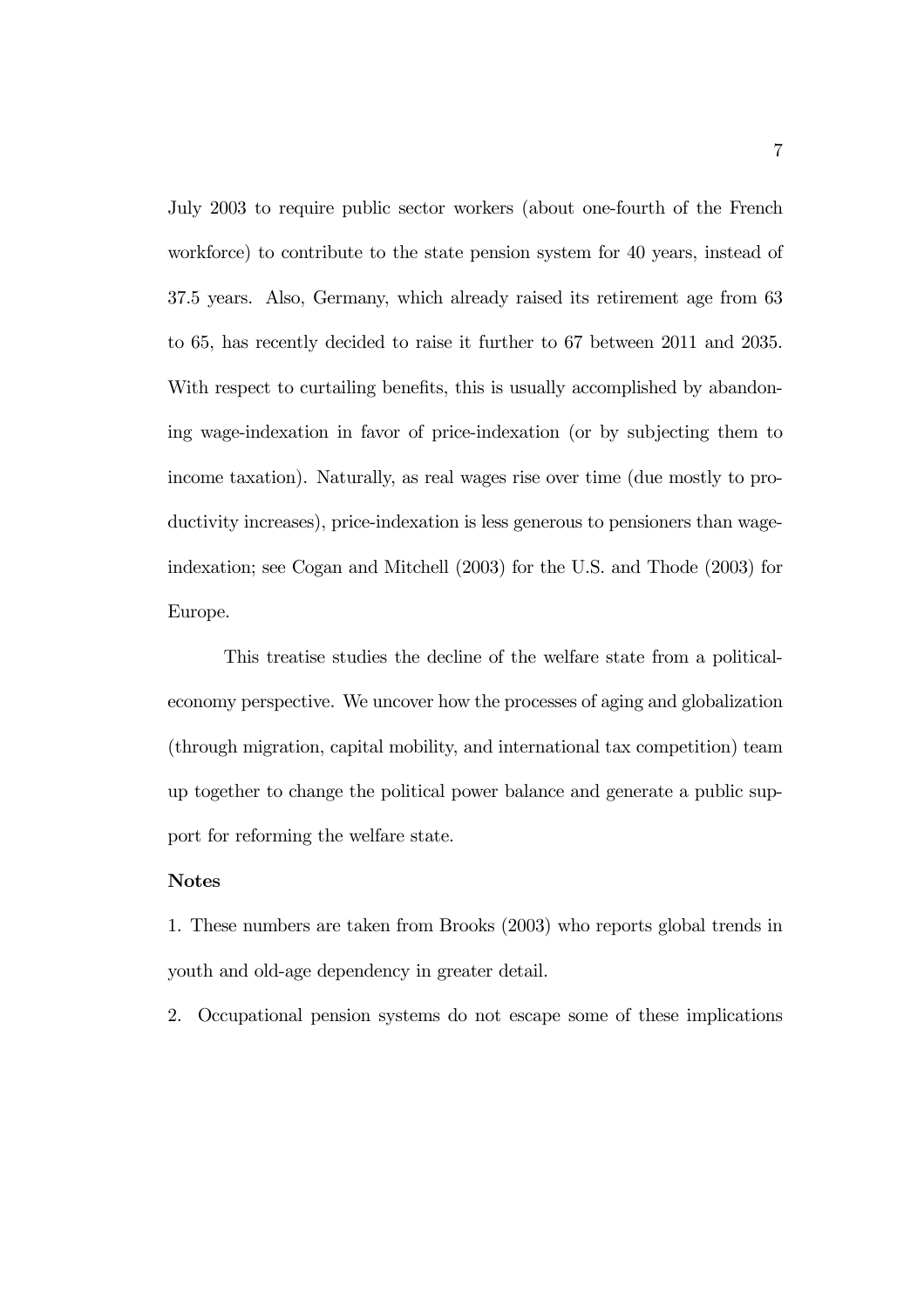July 2003 to require public sector workers (about one-fourth of the French workforce) to contribute to the state pension system for 40 years, instead of 37.5 years. Also, Germany, which already raised its retirement age from 63 to 65, has recently decided to raise it further to 67 between 2011 and 2035. With respect to curtailing benefits, this is usually accomplished by abandoning wage-indexation in favor of price-indexation (or by subjecting them to income taxation). Naturally, as real wages rise over time (due mostly to productivity increases), price-indexation is less generous to pensioners than wageindexation; see Cogan and Mitchell (2003) for the U.S. and Thode (2003) for Europe.

This treatise studies the decline of the welfare state from a politicaleconomy perspective. We uncover how the processes of aging and globalization (through migration, capital mobility, and international tax competition) team up together to change the political power balance and generate a public support for reforming the welfare state.

## Notes

1. These numbers are taken from Brooks (2003) who reports global trends in youth and old-age dependency in greater detail.

2. Occupational pension systems do not escape some of these implications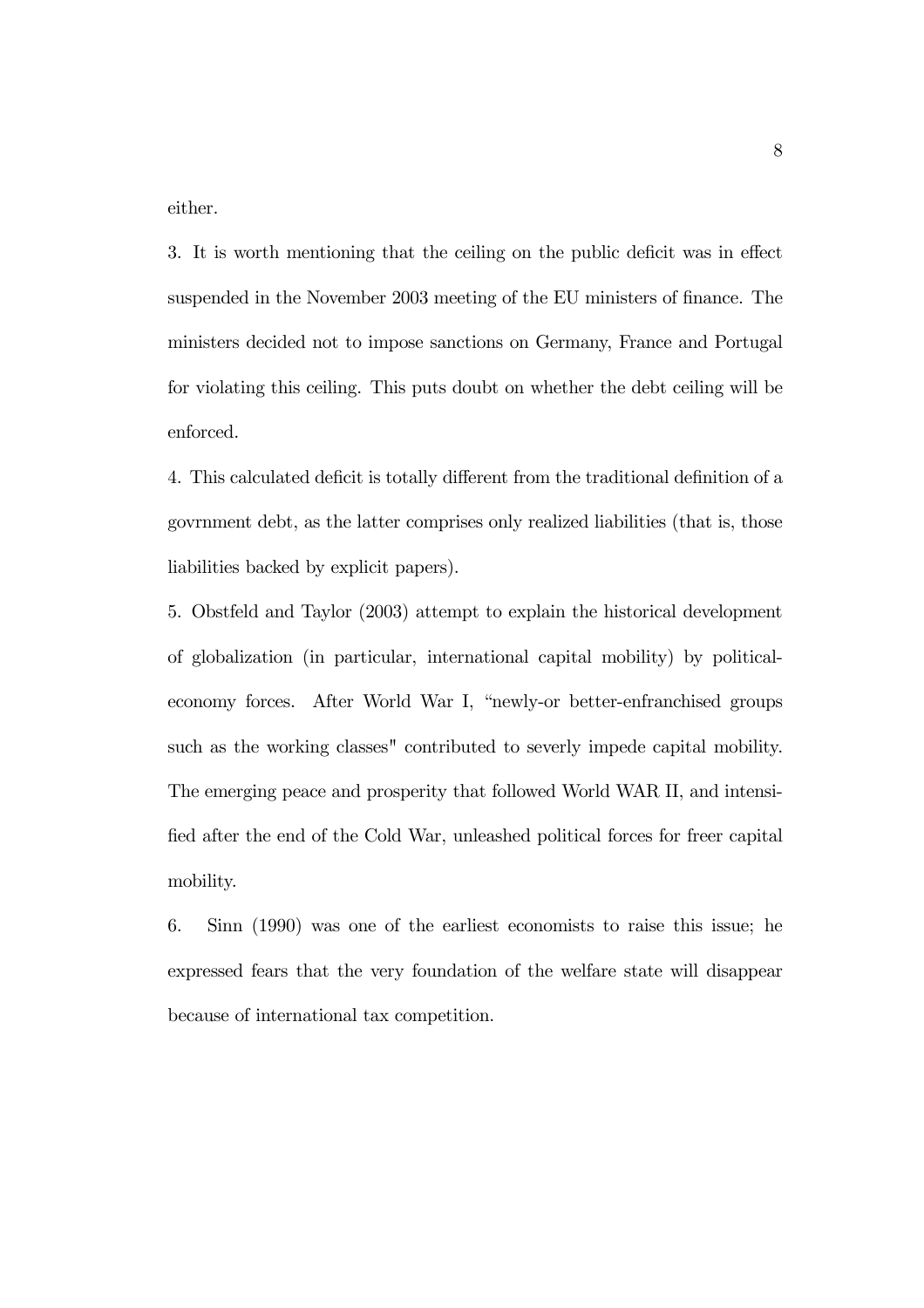either.

3. It is worth mentioning that the ceiling on the public deficit was in effect suspended in the November 2003 meeting of the EU ministers of finance. The ministers decided not to impose sanctions on Germany, France and Portugal for violating this ceiling. This puts doubt on whether the debt ceiling will be enforced.

4. This calculated deficit is totally different from the traditional definition of a govrnment debt, as the latter comprises only realized liabilities (that is, those liabilities backed by explicit papers).

5. Obstfeld and Taylor (2003) attempt to explain the historical development of globalization (in particular, international capital mobility) by politicaleconomy forces. After World War I, "newly-or better-enfranchised groups such as the working classes" contributed to severly impede capital mobility. The emerging peace and prosperity that followed World WAR II, and intensified after the end of the Cold War, unleashed political forces for freer capital mobility.

6. Sinn (1990) was one of the earliest economists to raise this issue; he expressed fears that the very foundation of the welfare state will disappear because of international tax competition.